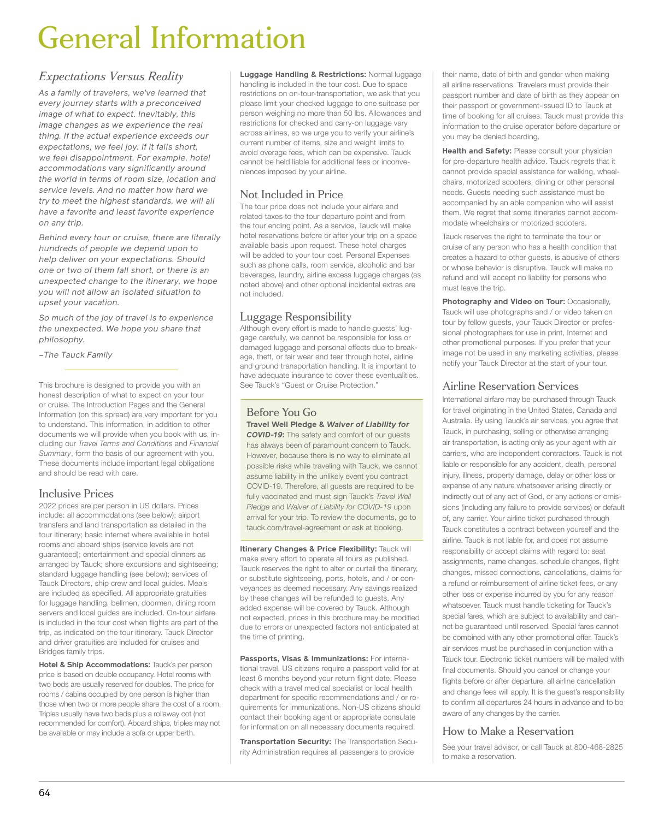# General Information

## *Expectations Versus Reality*

*As a family of travelers, we've learned that every journey starts with a preconceived image of what to expect. Inevitably, this image changes as we experience the real thing. If the actual experience exceeds our expectations, we feel joy. If it falls short, we feel disappointment. For example, hotel accommodations vary significantly around the world in terms of room size, location and service levels. And no matter how hard we try to meet the highest standards, we will all have a favorite and least favorite experience on any trip.*

*Behind every tour or cruise, there are literally hundreds of people we depend upon to help deliver on your expectations. Should one or two of them fall short, or there is an unexpected change to the itinerary, we hope you will not allow an isolated situation to upset your vacation.*

*So much of the joy of travel is to experience the unexpected. We hope you share that philosophy.*

*–The Tauck Family*

This brochure is designed to provide you with an honest description of what to expect on your tour or cruise. The Introduction Pages and the General Information (on this spread) are very important for you to understand. This information, in addition to other documents we will provide when you book with us, including our *Travel Terms and Conditions* and *Financial Summary*, form the basis of our agreement with you. These documents include important legal obligations and should be read with care.

### Inclusive Prices

2022 prices are per person in US dollars. Prices include: all accommodations (see below); airport transfers and land transportation as detailed in the tour itinerary; basic internet where available in hotel rooms and aboard ships (service levels are not guaranteed); entertainment and special dinners as arranged by Tauck; shore excursions and sightseeing; standard luggage handling (see below); services of Tauck Directors, ship crew and local guides. Meals are included as specified. All appropriate gratuities for luggage handling, bellmen, doormen, dining room servers and local guides are included. On-tour airfare is included in the tour cost when flights are part of the trip, as indicated on the tour itinerary. Tauck Director and driver gratuities are included for cruises and Bridges family trips.

**Hotel & Ship Accommodations:** Tauck's per person price is based on double occupancy. Hotel rooms with two beds are usually reserved for doubles. The price for rooms / cabins occupied by one person is higher than those when two or more people share the cost of a room. Triples usually have two beds plus a rollaway cot (not recommended for comfort). Aboard ships, triples may not be available or may include a sofa or upper berth.

**Luggage Handling & Restrictions:** Normal luggage handling is included in the tour cost. Due to space restrictions on on-tour-transportation, we ask that you please limit your checked luggage to one suitcase per person weighing no more than 50 lbs. Allowances and restrictions for checked and carry-on luggage vary across airlines, so we urge you to verify your airline's current number of items, size and weight limits to avoid overage fees, which can be expensive. Tauck cannot be held liable for additional fees or inconveniences imposed by your airline.

## Not Included in Price

The tour price does not include your airfare and related taxes to the tour departure point and from the tour ending point. As a service, Tauck will make hotel reservations before or after your trip on a space available basis upon request. These hotel charges will be added to your tour cost. Personal Expenses such as phone calls, room service, alcoholic and bar beverages, laundry, airline excess luggage charges (as noted above) and other optional incidental extras are not included.

## Luggage Responsibility

Although every effort is made to handle guests' luggage carefully, we cannot be responsible for loss or damaged luggage and personal effects due to breakage, theft, or fair wear and tear through hotel, airline and ground transportation handling. It is important to have adequate insurance to cover these eventualities. See Tauck's "Guest or Cruise Protection."

## Before You Go **Travel Well Pledge &** *Waiver of Liability for*

*COVID-19***:** The safety and comfort of our guests has always been of paramount concern to Tauck. However, because there is no way to eliminate all possible risks while traveling with Tauck, we cannot assume liability in the unlikely event you contract COVID-19. Therefore, all guests are required to be fully vaccinated and must sign Tauck's *Travel Well Pledge* and *Waiver of Liability for COVID-19* upon arrival for your trip. To review the documents, go to tauck.com/travel-agreement or ask at booking.

**Itinerary Changes & Price Flexibility:** Tauck will make every effort to operate all tours as published. Tauck reserves the right to alter or curtail the itinerary, or substitute sightseeing, ports, hotels, and / or conveyances as deemed necessary. Any savings realized by these changes will be refunded to guests. Any added expense will be covered by Tauck. Although not expected, prices in this brochure may be modified due to errors or unexpected factors not anticipated at the time of printing.

**Passports, Visas & Immunizations:** For international travel, US citizens require a passport valid for at least 6 months beyond your return flight date. Please check with a travel medical specialist or local health department for specific recommendations and / or requirements for immunizations. Non-US citizens should contact their booking agent or appropriate consulate for information on all necessary documents required.

**Transportation Security:** The Transportation Security Administration requires all passengers to provide

their name, date of birth and gender when making all airline reservations. Travelers must provide their passport number and date of birth as they appear on their passport or government-issued ID to Tauck at time of booking for all cruises. Tauck must provide this information to the cruise operator before departure or you may be denied boarding.

**Health and Safety: Please consult your physician** for pre-departure health advice. Tauck regrets that it cannot provide special assistance for walking, wheelchairs, motorized scooters, dining or other personal needs. Guests needing such assistance must be accompanied by an able companion who will assist them. We regret that some itineraries cannot accommodate wheelchairs or motorized scooters.

Tauck reserves the right to terminate the tour or cruise of any person who has a health condition that creates a hazard to other guests, is abusive of others or whose behavior is disruptive. Tauck will make no refund and will accept no liability for persons who must leave the trip.

**Photography and Video on Tour:** Occasionally, Tauck will use photographs and / or video taken on tour by fellow guests, your Tauck Director or professional photographers for use in print, Internet and other promotional purposes. If you prefer that your image not be used in any marketing activities, please notify your Tauck Director at the start of your tour.

## Airline Reservation Services

International airfare may be purchased through Tauck for travel originating in the United States, Canada and Australia. By using Tauck's air services, you agree that Tauck, in purchasing, selling or otherwise arranging air transportation, is acting only as your agent with air carriers, who are independent contractors. Tauck is not liable or responsible for any accident, death, personal injury, illness, property damage, delay or other loss or expense of any nature whatsoever arising directly or indirectly out of any act of God, or any actions or omissions (including any failure to provide services) or default of, any carrier. Your airline ticket purchased through Tauck constitutes a contract between yourself and the airline. Tauck is not liable for, and does not assume responsibility or accept claims with regard to: seat assignments, name changes, schedule changes, flight changes, missed connections, cancellations, claims for a refund or reimbursement of airline ticket fees, or any other loss or expense incurred by you for any reason whatsoever. Tauck must handle ticketing for Tauck's special fares, which are subject to availability and cannot be guaranteed until reserved. Special fares cannot be combined with any other promotional offer. Tauck's air services must be purchased in conjunction with a Tauck tour. Electronic ticket numbers will be mailed with final documents. Should you cancel or change your flights before or after departure, all airline cancellation and change fees will apply. It is the guest's responsibility to confirm all departures 24 hours in advance and to be aware of any changes by the carrier.

## How to Make a Reservation

See your travel advisor, or call Tauck at 800-468-2825 to make a reservation.